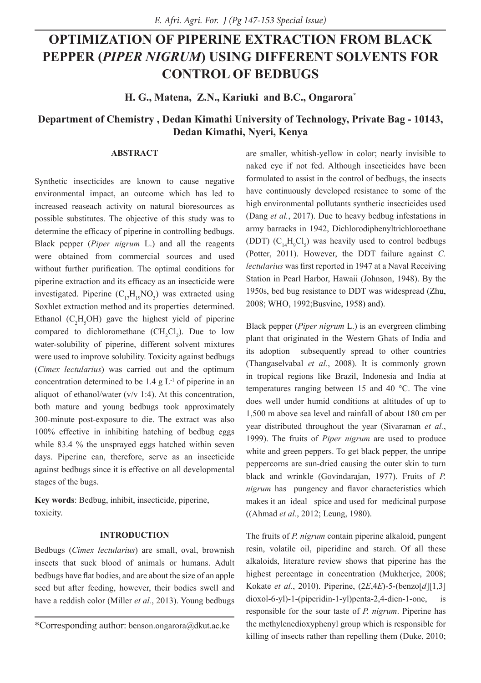# **OPTIMIZATION OF PIPERINE EXTRACTION FROM BLACK PEPPER (***PIPER NIGRUM***) USING DIFFERENT SOLVENTS FOR CONTROL OF BEDBUGS**

**H. G., Matena, Z.N., Kariuki and B.C., Ongarora\***

# **Department of Chemistry , Dedan Kimathi University of Technology, Private Bag - 10143, Dedan Kimathi, Nyeri, Kenya**

# **ABSTRACT**

Synthetic insecticides are known to cause negative environmental impact, an outcome which has led to increased reaseach activity on natural bioresources as possible substitutes. The objective of this study was to determine the efficacy of piperine in controlling bedbugs. Black pepper (*Piper nigrum* L.) and all the reagents were obtained from commercial sources and used without further purification. The optimal conditions for piperine extraction and its efficacy as an insecticide were investigated. Piperine  $(C_{17}H_{19}NO_3)$  was extracted using Soxhlet extraction method and its properties determined. Ethanol  $(C_2H_5OH)$  gave the highest yield of piperine compared to dichloromethane  $(CH_2Cl_2)$ . Due to low water-solubility of piperine, different solvent mixtures were used to improve solubility. Toxicity against bedbugs (*Cimex lectularius*) was carried out and the optimum concentration determined to be  $1.4 \text{ g L}^{-1}$  of piperine in an aliquot of ethanol/water (v/v 1:4). At this concentration, both mature and young bedbugs took approximately 300-minute post-exposure to die. The extract was also 100% effective in inhibiting hatching of bedbug eggs while 83.4 % the unsprayed eggs hatched within seven days. Piperine can, therefore, serve as an insecticide against bedbugs since it is effective on all developmental stages of the bugs.

**Key words**: Bedbug, inhibit, insecticide, piperine, toxicity.

## **INTRODUCTION**

Bedbugs (*Cimex lectularius*) are small, oval, brownish insects that suck blood of animals or humans. Adult bedbugs have flat bodies, and are about the size of an apple seed but after feeding, however, their bodies swell and have a reddish color (Miller *et al.*, 2013). Young bedbugs

are smaller, whitish-yellow in color; nearly invisible to naked eye if not fed. Although insecticides have been formulated to assist in the control of bedbugs, the insects have continuously developed resistance to some of the high environmental pollutants synthetic insecticides used (Dang *et al.*, 2017). Due to heavy bedbug infestations in army barracks in 1942, Dichlorodiphenyltrichloroethane (DDT)  $(C_{14}H_9Cl_5)$  was heavily used to control bedbugs (Potter, 2011). However, the DDT failure against *C. lectularius* was first reported in 1947 at a Naval Receiving Station in Pearl Harbor, Hawaii (Johnson, 1948). By the 1950s, bed bug resistance to DDT was widespread (Zhu, 2008; WHO, 1992;Busvine, 1958) and).

Black pepper (*Piper nigrum* L.) is an evergreen climbing plant that originated in the Western Ghats of India and its adoption subsequently spread to other countries (Thangaselvabal *et al.*, 2008). It is commonly grown in tropical regions like Brazil, Indonesia and India at temperatures ranging between 15 and 40 °C. The vine does well under humid conditions at altitudes of up to 1,500 m above sea level and rainfall of about 180 cm per year distributed throughout the year (Sivaraman *et al.*, 1999). The fruits of *Piper nigrum* are used to produce white and green peppers. To get black pepper, the unripe peppercorns are sun-dried causing the outer skin to turn black and wrinkle (Govindarajan, 1977). Fruits of *P. nigrum* has pungency and flavor characteristics which makes it an ideal spice and used for medicinal purpose ((Ahmad *et al.*, 2012; Leung, 1980).

The fruits of *P. nigrum* contain piperine alkaloid, pungent resin, volatile oil, piperidine and starch. Of all these alkaloids, literature review shows that piperine has the highest percentage in concentration (Mukherjee, 2008; Kokate *et al.*, 2010). Piperine, (2*E*,4*E*)-5-(benzo[*d*][1,3] dioxol-6-yl)-1-(piperidin-1-yl)penta-2,4-dien-1-one, responsible for the sour taste of *P. nigrum*. Piperine has the methylenedioxyphenyl group which is responsible for killing of insects rather than repelling them (Duke, 2010;

<sup>\*</sup>Corresponding author: benson.ongarora@dkut.ac.ke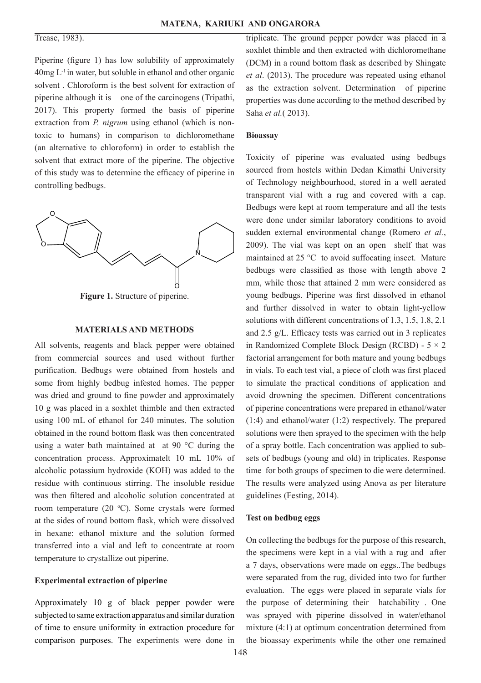# Trease, 1983).

Piperine (figure 1) has low solubility of approximately  $40$ mg  $L^{-1}$  in water, but soluble in ethanol and other organic solvent . Chloroform is the best solvent for extraction of piperine although it is one of the carcinogens (Tripathi, 2017). This property formed the basis of piperine extraction from *P. nigrum* using ethanol (which is nontoxic to humans) in comparison to dichloromethane (an alternative to chloroform) in order to establish the solvent that extract more of the piperine. The objective of this study was to determine the efficacy of piperine in controlling bedbugs.



**Figure 1.** Structure of piperine.

#### **MATERIALS AND METHODS**

All solvents, reagents and black pepper were obtained from commercial sources and used without further purification. Bedbugs were obtained from hostels and some from highly bedbug infested homes. The pepper was dried and ground to fine powder and approximately 10 g was placed in a soxhlet thimble and then extracted using 100 mL of ethanol for 240 minutes. The solution obtained in the round bottom flask was then concentrated using a water bath maintained at at 90 °C during the concentration process. Approximatelt 10 mL 10% of alcoholic potassium hydroxide (KOH) was added to the residue with continuous stirring. The insoluble residue was then filtered and alcoholic solution concentrated at room temperature (20 °C). Some crystals were formed at the sides of round bottom flask, which were dissolved in hexane: ethanol mixture and the solution formed transferred into a vial and left to concentrate at room temperature to crystallize out piperine.

#### **Experimental extraction of piperine**

Approximately 10 g of black pepper powder were subjected to same extraction apparatus and similar duration of time to ensure uniformity in extraction procedure for comparison purposes. The experiments were done in

triplicate. The ground pepper powder was placed in a soxhlet thimble and then extracted with dichloromethane (DCM) in a round bottom flask as described by Shingate *et al*. (2013). The procedure was repeated using ethanol as the extraction solvent. Determination of piperine properties was done according to the method described by Saha *et al.*( 2013).

#### **Bioassay**

Toxicity of piperine was evaluated using bedbugs sourced from hostels within Dedan Kimathi University of Technology neighbourhood, stored in a well aerated transparent vial with a rug and covered with a cap. Bedbugs were kept at room temperature and all the tests were done under similar laboratory conditions to avoid sudden external environmental change (Romero *et al.*, 2009). The vial was kept on an open shelf that was maintained at 25 °C to avoid suffocating insect. Mature bedbugs were classified as those with length above 2 mm, while those that attained 2 mm were considered as young bedbugs. Piperine was first dissolved in ethanol and further dissolved in water to obtain light-yellow solutions with different concentrations of 1.3, 1.5, 1.8, 2.1 and 2.5 g/L. Efficacy tests was carried out in 3 replicates in Randomized Complete Block Design (RCBD) -  $5 \times 2$ factorial arrangement for both mature and young bedbugs in vials. To each test vial, a piece of cloth was first placed to simulate the practical conditions of application and avoid drowning the specimen. Different concentrations of piperine concentrations were prepared in ethanol/water (1:4) and ethanol/water (1:2) respectively. The prepared solutions were then sprayed to the specimen with the help of a spray bottle. Each concentration was applied to subsets of bedbugs (young and old) in triplicates. Response time for both groups of specimen to die were determined. The results were analyzed using Anova as per literature guidelines (Festing, 2014).

#### **Test on bedbug eggs**

On collecting the bedbugs for the purpose of this research, the specimens were kept in a vial with a rug and after a 7 days, observations were made on eggs..The bedbugs were separated from the rug, divided into two for further evaluation. The eggs were placed in separate vials for the purpose of determining their hatchability . One was sprayed with piperine dissolved in water/ethanol mixture (4:1) at optimum concentration determined from the bioassay experiments while the other one remained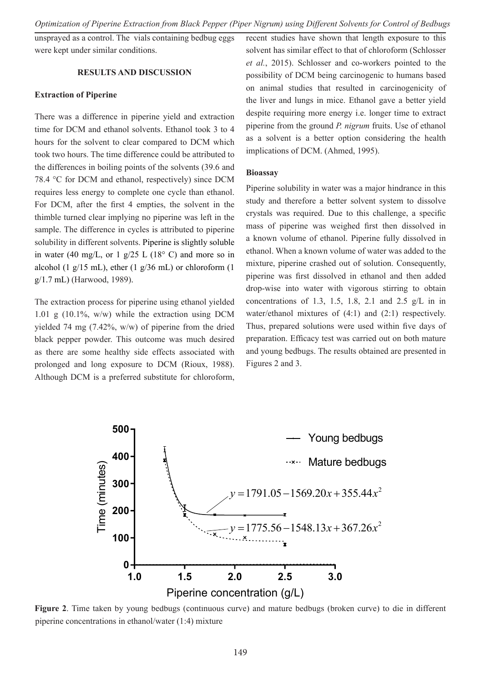unsprayed as a control. The vials containing bedbug eggs were kept under similar conditions.

#### **RESULTS AND DISCUSSION**

#### **Extraction of Piperine**

There was a difference in piperine yield and extraction time for DCM and ethanol solvents. Ethanol took 3 to 4 hours for the solvent to clear compared to DCM which took two hours. The time difference could be attributed to the differences in boiling points of the solvents (39.6 and 78.4 °C for DCM and ethanol, respectively) since DCM requires less energy to complete one cycle than ethanol. For DCM, after the first 4 empties, the solvent in the thimble turned clear implying no piperine was left in the sample. The difference in cycles is attributed to piperine solubility in different solvents. Piperine is slightly soluble in water (40 mg/L, or 1 g/25 L (18 $\degree$  C) and more so in alcohol (1  $g/15$  mL), ether (1  $g/36$  mL) or chloroform (1 g/1.7 mL) (Harwood, 1989).

The extraction process for piperine using ethanol yielded 1.01 g (10.1%, w/w) while the extraction using DCM yielded 74 mg (7.42%, w/w) of piperine from the dried black pepper powder. This outcome was much desired as there are some healthy side effects associated with prolonged and long exposure to DCM (Rioux, 1988). Although DCM is a preferred substitute for chloroform, recent studies have shown that length exposure to this solvent has similar effect to that of chloroform (Schlosser *et al.*, 2015). Schlosser and co-workers pointed to the possibility of DCM being carcinogenic to humans based on animal studies that resulted in carcinogenicity of the liver and lungs in mice. Ethanol gave a better yield despite requiring more energy i.e. longer time to extract piperine from the ground *P. nigrum* fruits. Use of ethanol as a solvent is a better option considering the health implications of DCM. (Ahmed, 1995).

#### **Bioassay**

Piperine solubility in water was a major hindrance in this study and therefore a better solvent system to dissolve crystals was required. Due to this challenge, a specific mass of piperine was weighed first then dissolved in a known volume of ethanol. Piperine fully dissolved in ethanol. When a known volume of water was added to the mixture, piperine crashed out of solution. Consequently, piperine was first dissolved in ethanol and then added drop-wise into water with vigorous stirring to obtain concentrations of 1.3, 1.5, 1.8, 2.1 and 2.5 g/L in in water/ethanol mixtures of (4:1) and (2:1) respectively. Thus, prepared solutions were used within five days of preparation. Efficacy test was carried out on both mature and young bedbugs. The results obtained are presented in Figures 2 and 3.



**Figure 2**. Time taken by young bedbugs (continuous curve) and mature bedbugs (broken curve) to die in different piperine concentrations in ethanol/water (1:4) mixture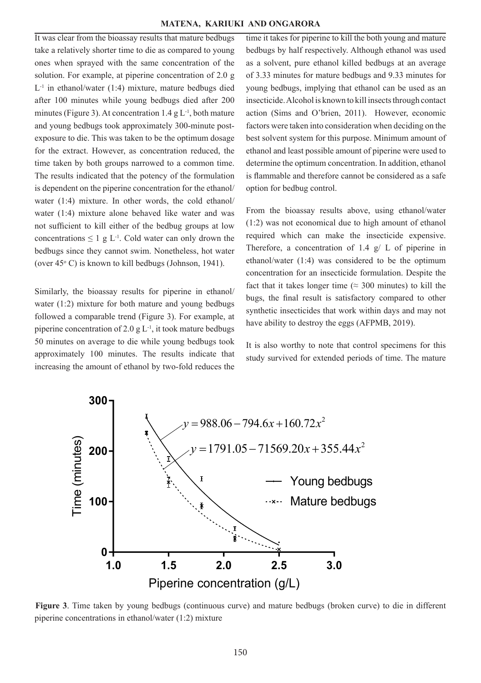It was clear from the bioassay results that mature bedbugs take a relatively shorter time to die as compared to young ones when sprayed with the same concentration of the solution. For example, at piperine concentration of 2.0 g  $L^{-1}$  in ethanol/water (1:4) mixture, mature bedbugs died after 100 minutes while young bedbugs died after 200 minutes (Figure 3). At concentration 1.4 g  $L^{-1}$ , both mature and young bedbugs took approximately 300-minute postexposure to die. This was taken to be the optimum dosage for the extract. However, as concentration reduced, the time taken by both groups narrowed to a common time. The results indicated that the potency of the formulation is dependent on the piperine concentration for the ethanol/ water  $(1:4)$  mixture. In other words, the cold ethanol/ water  $(1:4)$  mixture alone behaved like water and was not sufficient to kill either of the bedbug groups at low concentrations  $\leq 1$  g L<sup>-1</sup>. Cold water can only drown the concentrations  $\leq 1$  g L<sup>-1</sup>. Cold water can only drown the bedbugs since they cannot swim. Nonetheless, hot water bedbugs since they cannot swim. Nonetheless, hot wa<br>(over 45° C) is known to kill bedbugs (Johnson, 1941).

Similarly, the bioassay results for piperine in ethanol/ water (1:2) mixture for both mature and young bedbugs followed a comparable trend (Figure 3). For example, at piperine concentration of 2.0 g  $L^{-1}$ , it took mature bedbugs have abil 50 minutes on average to die while young bedbugs took approximately 100 minutes. The results indicate that increasing the amount of ethanol by two-fold reduces the

time it takes for piperine to kill the both young and mature bedbugs by half respectively. Although ethanol was used as a solvent, pure ethanol killed bedbugs at an average of 3.33 minutes for mature bedbugs and 9.33 minutes for young bedbugs, implying that ethanol can be used as an insecticide. Alcohol is known to kill insects through contact action (Sims and O'brien, 2011). However, economic factors were taken into consideration when deciding on the best solvent system for this purpose. Minimum amount of ethanol and least possible amount of piperine were used to determine the optimum concentration. In addition, ethanol is flammable and therefore cannot be considered as a safe option for bedbug control.

From the bioassay results above, using ethanol/water *ns* at low (1:2) was not economical due to high amount of ethanol required which can make the insecticide expensive. Therefore, a concentration of 1.4  $g/L$  of piperine in  $y_{1941}$  ethanol/water (1:4) was considered to be the optimum concentration for an insecticide formulation. Despite the fact that it takes longer time ( $\approx$  300 minutes) to kill the bugs, the final result is satisfactory compared to other synthetic insecticides that work within days and may not have ability to destroy the eggs (AFPMB, 2019).

> It is also worthy to note that control specimens for this study survived for extended periods of time. The mature



**Figure 3**. Time taken by young bedbugs (continuous curve) and mature bedbugs (broken curve) to die in different piperine concentrations in ethanol/water (1:2) mixture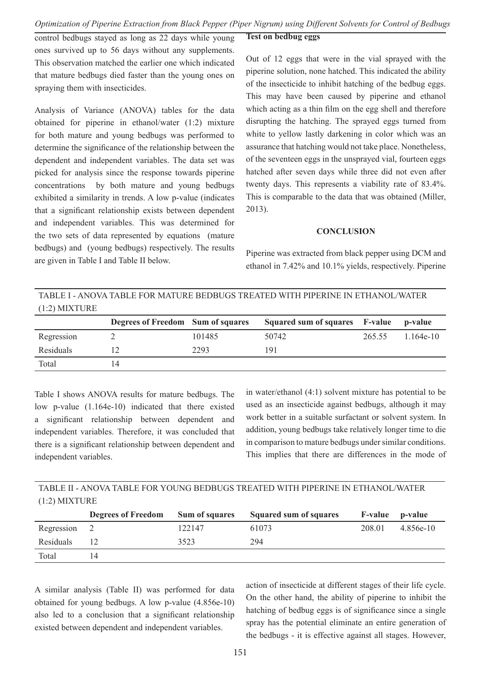# *Optimization of Piperine Extraction from Black Pepper (Piper Nigrum) using Different Solvents for Control of Bedbugs*

**Test on bedbug eggs**

control bedbugs stayed as long as 22 days while young ones survived up to 56 days without any supplements. This observation matched the earlier one which indicated that mature bedbugs died faster than the young ones on spraying them with insecticides.

Analysis of Variance (ANOVA) tables for the data obtained for piperine in ethanol/water (1:2) mixture for both mature and young bedbugs was performed to determine the significance of the relationship between the dependent and independent variables. The data set was picked for analysis since the response towards piperine concentrations by both mature and young bedbugs exhibited a similarity in trends. A low p-value (indicates that a significant relationship exists between dependent and independent variables. This was determined for the two sets of data represented by equations (mature bedbugs) and (young bedbugs) respectively. The results are given in Table I and Table II below.

# Out of 12 eggs that were in the vial sprayed with the piperine solution, none hatched. This indicated the ability of the insecticide to inhibit hatching of the bedbug eggs. This may have been caused by piperine and ethanol which acting as a thin film on the egg shell and therefore disrupting the hatching. The sprayed eggs turned from white to yellow lastly darkening in color which was an assurance that hatching would not take place. Nonetheless, of the seventeen eggs in the unsprayed vial, fourteen eggs hatched after seven days while three did not even after twenty days. This represents a viability rate of 83.4%. This is comparable to the data that was obtained (Miller, 2013).

## **CONCLUSION**

Piperine was extracted from black pepper using DCM and ethanol in 7.42% and 10.1% yields, respectively. Piperine

TABLE I - ANOVA TABLE FOR MATURE BEDBUGS TREATED WITH PIPERINE IN ETHANOL/WATER (1:2) MIXTURE

|            | Degrees of Freedom Sum of squares |        | Squared sum of squares F-value p-value |        |             |
|------------|-----------------------------------|--------|----------------------------------------|--------|-------------|
| Regression |                                   | 101485 | 50742                                  | 265.55 | $1.164e-10$ |
| Residuals  |                                   | 2293   | 191                                    |        |             |
| Total      | 14                                |        |                                        |        |             |

Table I shows ANOVA results for mature bedbugs. The low p-value (1.164e-10) indicated that there existed a significant relationship between dependent and independent variables. Therefore, it was concluded that there is a significant relationship between dependent and independent variables.

in water/ethanol (4:1) solvent mixture has potential to be used as an insecticide against bedbugs, although it may work better in a suitable surfactant or solvent system. In addition, young bedbugs take relatively longer time to die in comparison to mature bedbugs under similar conditions. This implies that there are differences in the mode of

TABLE II - ANOVA TABLE FOR YOUNG BEDBUGS TREATED WITH PIPERINE IN ETHANOL/WATER (1:2) MIXTURE

|            | <b>Degrees of Freedom</b> | <b>Sum of squares</b> | Squared sum of squares | <b>F-value</b> | p-value   |
|------------|---------------------------|-----------------------|------------------------|----------------|-----------|
| Regression |                           | 122147                | 61073                  | 208.01         | 4.856e-10 |
| Residuals  |                           | 3523                  | 294                    |                |           |
| Total      | 14                        |                       |                        |                |           |

A similar analysis (Table II) was performed for data obtained for young bedbugs. A low p-value (4.856e-10) also led to a conclusion that a significant relationship existed between dependent and independent variables.

action of insecticide at different stages of their life cycle. On the other hand, the ability of piperine to inhibit the hatching of bedbug eggs is of significance since a single spray has the potential eliminate an entire generation of the bedbugs - it is effective against all stages. However,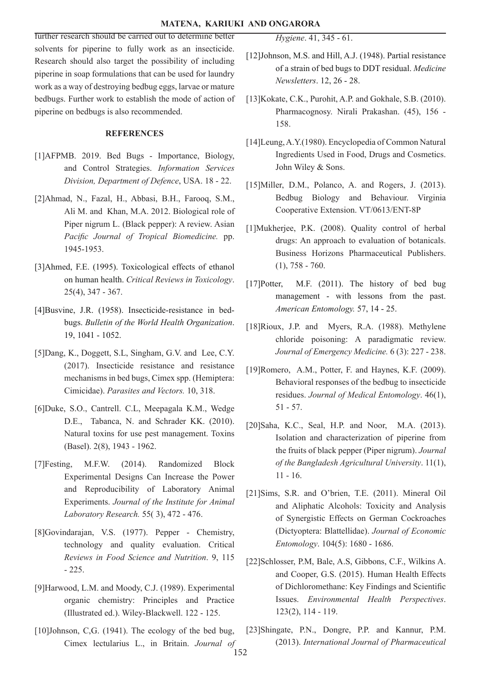further research should be carried out to determine better solvents for piperine to fully work as an insecticide. Research should also target the possibility of including piperine in soap formulations that can be used for laundry work as a way of destroying bedbug eggs, larvae or mature bedbugs. Further work to establish the mode of action of piperine on bedbugs is also recommended.

## **REFERENCES**

- [1]AFPMB. 2019. Bed Bugs Importance, Biology, and Control Strategies. *Information Services Division, Department of Defence*, USA. 18 - 22.
- [2]Ahmad, N., Fazal, H., Abbasi, B.H., Farooq, S.M., Ali M. and Khan, M.A. 2012. Biological role of Piper nigrum L. (Black pepper): A review. Asian *Pacific Journal of Tropical Biomedicine.* pp. 1945-1953.
- [3]Ahmed, F.E. (1995). Toxicological effects of ethanol on human health. *Critical Reviews in Toxicology*. 25(4), 347 - 367.
- [4]Busvine, J.R. (1958). Insecticide-resistance in bedbugs. *Bulletin of the World Health Organization*. 19, 1041 - 1052.
- [5]Dang, K., Doggett, S.L, Singham, G.V. and Lee, C.Y. (2017). Insecticide resistance and resistance mechanisms in bed bugs, Cimex spp. (Hemiptera: Cimicidae). *Parasites and Vectors.* 10, 318.
- [6]Duke, S.O., Cantrell. C.L, Meepagala K.M., Wedge D.E., Tabanca, N. and Schrader KK. (2010). Natural toxins for use pest management. Toxins (Basel). 2(8), 1943 - 1962.
- [7]Festing, M.F.W. (2014). Randomized Block Experimental Designs Can Increase the Power and Reproducibility of Laboratory Animal Experiments. *Journal of the Institute for Animal Laboratory Research.* 55( 3), 472 - 476.
- [8]Govindarajan, V.S. (1977). Pepper Chemistry, technology and quality evaluation. Critical *Reviews in Food Science and Nutrition*. 9, 115 - 225.
- [9]Harwood, L.M. and Moody, C.J. (1989). Experimental organic chemistry: Principles and Practice (Illustrated ed.). Wiley-Blackwell. 122 - 125.
- $[10]$ Johnson, C,G.  $(1941)$ . The ecology of the bed bug, Cimex lectularius L., in Britain. *Journal of*

*Hygiene*. 41, 345 - 61.

- [12]Johnson, M.S. and Hill, A.J. (1948). Partial resistance of a strain of bed bugs to DDT residual. *Medicine Newsletters*. 12, 26 - 28.
- [13]Kokate, C.K., Purohit, A.P. and Gokhale, S.B. (2010). Pharmacognosy. Nirali Prakashan. (45), 156 - 158.
- [14]Leung, A.Y.(1980). Encyclopedia of Common Natural Ingredients Used in Food, Drugs and Cosmetics. John Wiley & Sons.
- [15]Miller, D.M., Polanco, A. and Rogers, J. (2013). Bedbug Biology and Behaviour. Virginia Cooperative Extension. VT/0613/ENT-8P
- [1]Mukherjee, P.K. (2008). Quality control of herbal drugs: An approach to evaluation of botanicals. Business Horizons Pharmaceutical Publishers. (1), 758 - 760.
- [17]Potter, M.F. (2011). The history of bed bug management - with lessons from the past. *American Entomology.* 57, 14 - 25.
- [18]Rioux, J.P. and Myers, R.A. (1988). Methylene chloride poisoning: A paradigmatic review. *Journal of Emergency Medicine.* 6 (3): 227 - 238.
- [19]Romero, A.M., Potter, F. and Haynes, K.F. (2009). Behavioral responses of the bedbug to insecticide residues. *Journal of Medical Entomology*. 46(1), 51 - 57.
- [20]Saha, K.C., Seal, H.P. and Noor, M.A. (2013). Isolation and characterization of piperine from the fruits of black pepper (Piper nigrum). *Journal of the Bangladesh Agricultural University*. 11(1), 11 - 16.
- [21]Sims, S.R. and O'brien, T.E. (2011). Mineral Oil and Aliphatic Alcohols: Toxicity and Analysis of Synergistic Effects on German Cockroaches (Dictyoptera: Blattellidae). *Journal of Economic Entomology*. 104(5): 1680 - 1686.
- [22]Schlosser, P.M, Bale, A.S, Gibbons, C.F., Wilkins A. and Cooper, G.S. (2015). Human Health Effects of Dichloromethane: Key Findings and Scientific Issues. *Environmental Health Perspectives*. 123(2), 114 - 119.
- [23]Shingate, P.N., Dongre, P.P. and Kannur, P.M. (2013). *International Journal of Pharmaceutical*